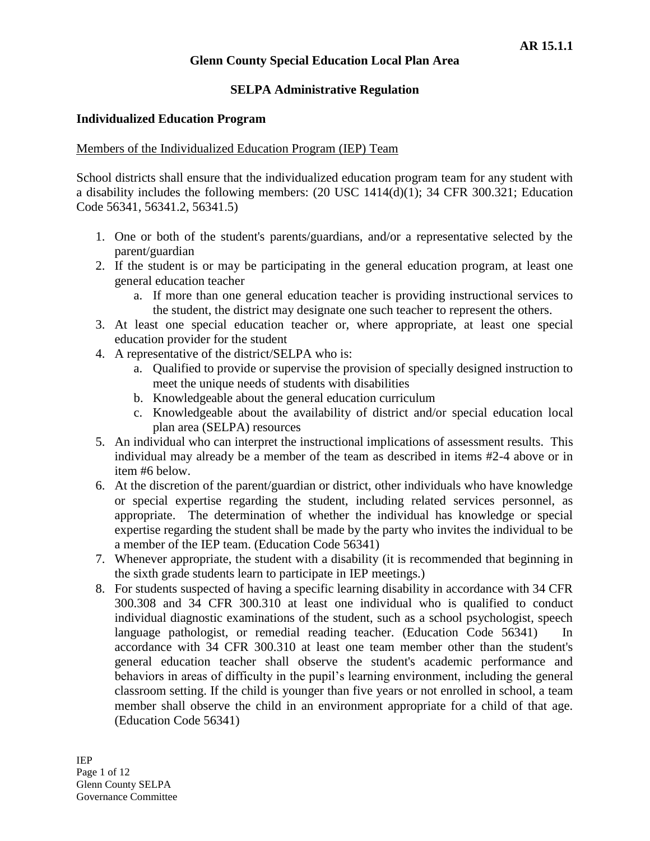## **SELPA Administrative Regulation**

### **Individualized Education Program**

### Members of the Individualized Education Program (IEP) Team

School districts shall ensure that the individualized education program team for any student with a disability includes the following members: (20 USC 1414(d)(1); 34 CFR 300.321; Education Code 56341, 56341.2, 56341.5)

- 1. One or both of the student's parents/guardians, and/or a representative selected by the parent/guardian
- 2. If the student is or may be participating in the general education program, at least one general education teacher
	- a. If more than one general education teacher is providing instructional services to the student, the district may designate one such teacher to represent the others.
- 3. At least one special education teacher or, where appropriate, at least one special education provider for the student
- 4. A representative of the district/SELPA who is:
	- a. Qualified to provide or supervise the provision of specially designed instruction to meet the unique needs of students with disabilities
	- b. Knowledgeable about the general education curriculum
	- c. Knowledgeable about the availability of district and/or special education local plan area (SELPA) resources
- 5. An individual who can interpret the instructional implications of assessment results. This individual may already be a member of the team as described in items #2-4 above or in item #6 below.
- 6. At the discretion of the parent/guardian or district, other individuals who have knowledge or special expertise regarding the student, including related services personnel, as appropriate. The determination of whether the individual has knowledge or special expertise regarding the student shall be made by the party who invites the individual to be a member of the IEP team. (Education Code 56341)
- 7. Whenever appropriate, the student with a disability (it is recommended that beginning in the sixth grade students learn to participate in IEP meetings.)
- 8. For students suspected of having a specific learning disability in accordance with 34 CFR 300.308 and 34 CFR 300.310 at least one individual who is qualified to conduct individual diagnostic examinations of the student, such as a school psychologist, speech language pathologist, or remedial reading teacher. (Education Code 56341) In accordance with 34 CFR 300.310 at least one team member other than the student's general education teacher shall observe the student's academic performance and behaviors in areas of difficulty in the pupil's learning environment, including the general classroom setting. If the child is younger than five years or not enrolled in school, a team member shall observe the child in an environment appropriate for a child of that age. (Education Code 56341)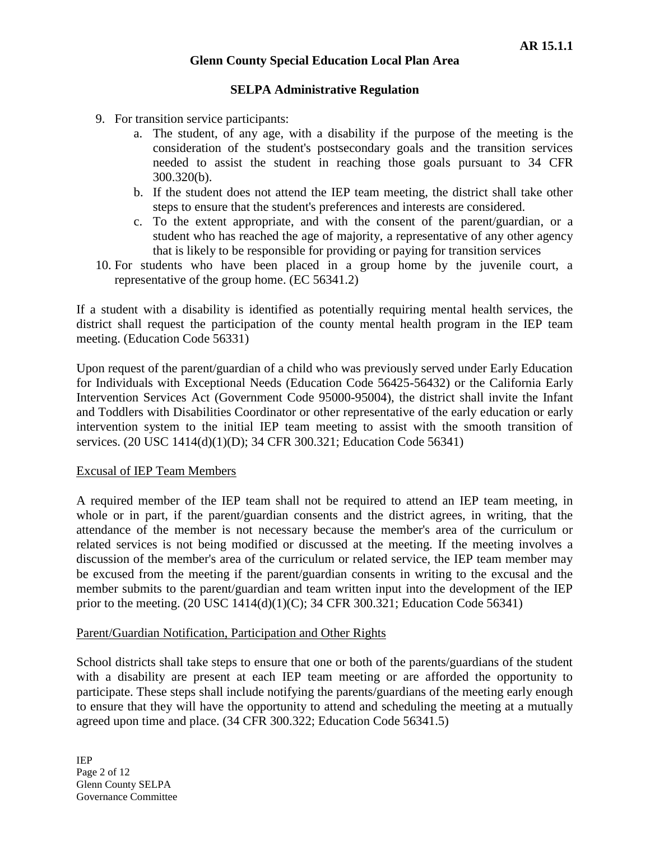### **SELPA Administrative Regulation**

- 9. For transition service participants:
	- a. The student, of any age, with a disability if the purpose of the meeting is the consideration of the student's postsecondary goals and the transition services needed to assist the student in reaching those goals pursuant to 34 CFR 300.320(b).
	- b. If the student does not attend the IEP team meeting, the district shall take other steps to ensure that the student's preferences and interests are considered.
	- c. To the extent appropriate, and with the consent of the parent/guardian, or a student who has reached the age of majority, a representative of any other agency that is likely to be responsible for providing or paying for transition services
- 10. For students who have been placed in a group home by the juvenile court, a representative of the group home. (EC 56341.2)

If a student with a disability is identified as potentially requiring mental health services, the district shall request the participation of the county mental health program in the IEP team meeting. (Education Code 56331)

Upon request of the parent/guardian of a child who was previously served under Early Education for Individuals with Exceptional Needs (Education Code 56425-56432) or the California Early Intervention Services Act (Government Code 95000-95004), the district shall invite the Infant and Toddlers with Disabilities Coordinator or other representative of the early education or early intervention system to the initial IEP team meeting to assist with the smooth transition of services. (20 USC 1414(d)(1)(D); 34 CFR 300.321; Education Code 56341)

#### Excusal of IEP Team Members

A required member of the IEP team shall not be required to attend an IEP team meeting, in whole or in part, if the parent/guardian consents and the district agrees, in writing, that the attendance of the member is not necessary because the member's area of the curriculum or related services is not being modified or discussed at the meeting. If the meeting involves a discussion of the member's area of the curriculum or related service, the IEP team member may be excused from the meeting if the parent/guardian consents in writing to the excusal and the member submits to the parent/guardian and team written input into the development of the IEP prior to the meeting. (20 USC 1414(d)(1)(C); 34 CFR 300.321; Education Code 56341)

#### Parent/Guardian Notification, Participation and Other Rights

School districts shall take steps to ensure that one or both of the parents/guardians of the student with a disability are present at each IEP team meeting or are afforded the opportunity to participate. These steps shall include notifying the parents/guardians of the meeting early enough to ensure that they will have the opportunity to attend and scheduling the meeting at a mutually agreed upon time and place. (34 CFR 300.322; Education Code 56341.5)

IEP Page 2 of 12 Glenn County SELPA Governance Committee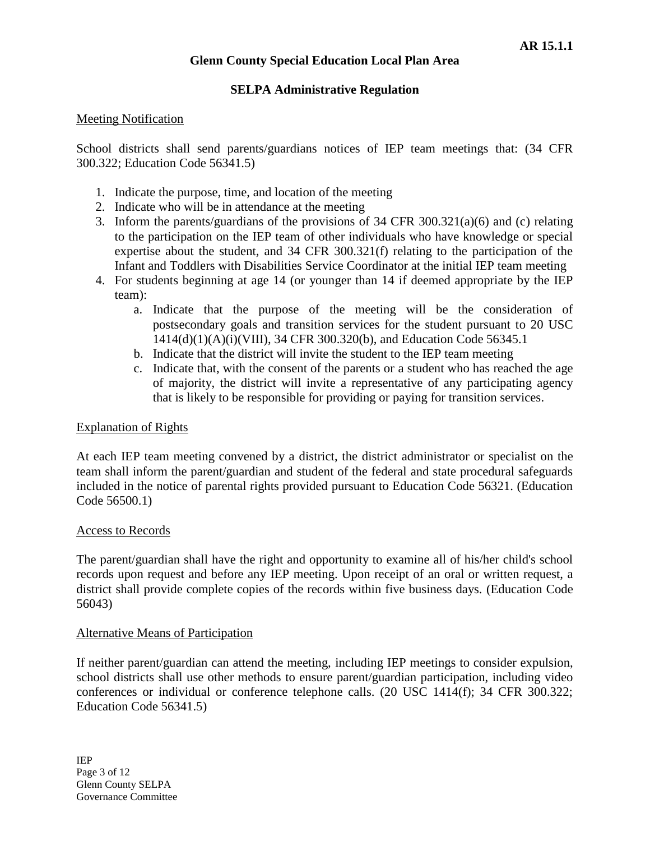### **SELPA Administrative Regulation**

### Meeting Notification

School districts shall send parents/guardians notices of IEP team meetings that: (34 CFR 300.322; Education Code 56341.5)

- 1. Indicate the purpose, time, and location of the meeting
- 2. Indicate who will be in attendance at the meeting
- 3. Inform the parents/guardians of the provisions of 34 CFR 300.321(a)(6) and (c) relating to the participation on the IEP team of other individuals who have knowledge or special expertise about the student, and 34 CFR 300.321(f) relating to the participation of the Infant and Toddlers with Disabilities Service Coordinator at the initial IEP team meeting
- 4. For students beginning at age 14 (or younger than 14 if deemed appropriate by the IEP team):
	- a. Indicate that the purpose of the meeting will be the consideration of postsecondary goals and transition services for the student pursuant to 20 USC 1414(d)(1)(A)(i)(VIII), 34 CFR 300.320(b), and Education Code 56345.1
	- b. Indicate that the district will invite the student to the IEP team meeting
	- c. Indicate that, with the consent of the parents or a student who has reached the age of majority, the district will invite a representative of any participating agency that is likely to be responsible for providing or paying for transition services.

#### Explanation of Rights

At each IEP team meeting convened by a district, the district administrator or specialist on the team shall inform the parent/guardian and student of the federal and state procedural safeguards included in the notice of parental rights provided pursuant to Education Code 56321. (Education Code 56500.1)

#### Access to Records

The parent/guardian shall have the right and opportunity to examine all of his/her child's school records upon request and before any IEP meeting. Upon receipt of an oral or written request, a district shall provide complete copies of the records within five business days. (Education Code 56043)

#### Alternative Means of Participation

If neither parent/guardian can attend the meeting, including IEP meetings to consider expulsion, school districts shall use other methods to ensure parent/guardian participation, including video conferences or individual or conference telephone calls. (20 USC 1414(f); 34 CFR 300.322; Education Code 56341.5)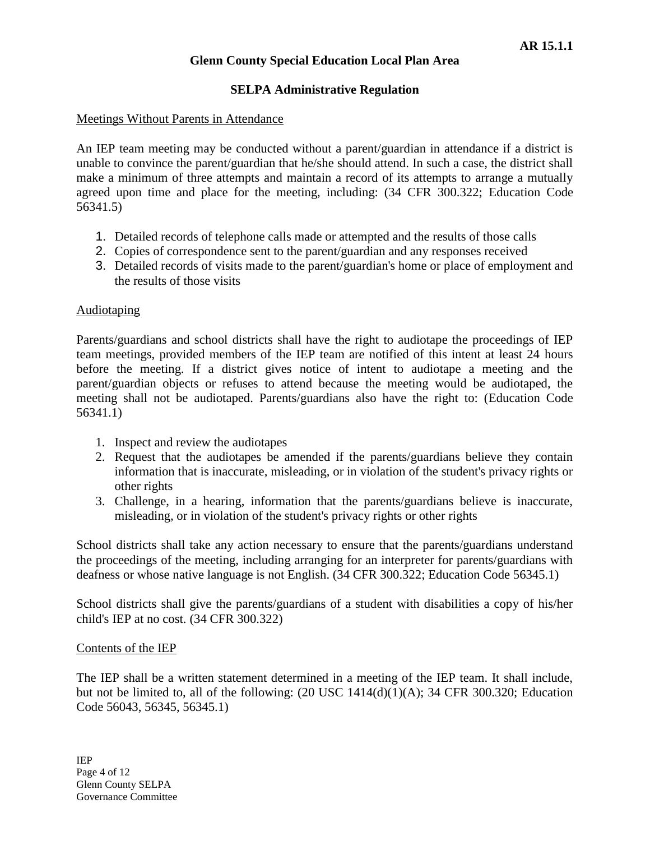## **SELPA Administrative Regulation**

#### Meetings Without Parents in Attendance

An IEP team meeting may be conducted without a parent/guardian in attendance if a district is unable to convince the parent/guardian that he/she should attend. In such a case, the district shall make a minimum of three attempts and maintain a record of its attempts to arrange a mutually agreed upon time and place for the meeting, including: (34 CFR 300.322; Education Code 56341.5)

- 1. Detailed records of telephone calls made or attempted and the results of those calls
- 2. Copies of correspondence sent to the parent/guardian and any responses received
- 3. Detailed records of visits made to the parent/guardian's home or place of employment and the results of those visits

#### Audiotaping

Parents/guardians and school districts shall have the right to audiotape the proceedings of IEP team meetings, provided members of the IEP team are notified of this intent at least 24 hours before the meeting. If a district gives notice of intent to audiotape a meeting and the parent/guardian objects or refuses to attend because the meeting would be audiotaped, the meeting shall not be audiotaped. Parents/guardians also have the right to: (Education Code 56341.1)

- 1. Inspect and review the audiotapes
- 2. Request that the audiotapes be amended if the parents/guardians believe they contain information that is inaccurate, misleading, or in violation of the student's privacy rights or other rights
- 3. Challenge, in a hearing, information that the parents/guardians believe is inaccurate, misleading, or in violation of the student's privacy rights or other rights

School districts shall take any action necessary to ensure that the parents/guardians understand the proceedings of the meeting, including arranging for an interpreter for parents/guardians with deafness or whose native language is not English. (34 CFR 300.322; Education Code 56345.1)

School districts shall give the parents/guardians of a student with disabilities a copy of his/her child's IEP at no cost. (34 CFR 300.322)

#### Contents of the IEP

The IEP shall be a written statement determined in a meeting of the IEP team. It shall include, but not be limited to, all of the following:  $(20 \text{ USC } 1414(d)(1)(A); 34 \text{ CFR } 300.320;$  Education Code 56043, 56345, 56345.1)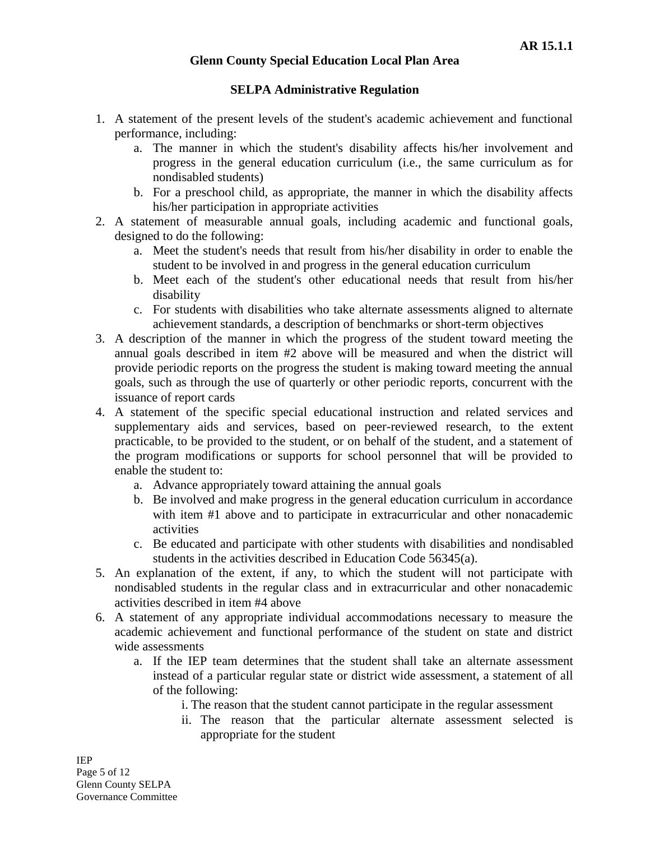## **SELPA Administrative Regulation**

- 1. A statement of the present levels of the student's academic achievement and functional performance, including:
	- a. The manner in which the student's disability affects his/her involvement and progress in the general education curriculum (i.e., the same curriculum as for nondisabled students)
	- b. For a preschool child, as appropriate, the manner in which the disability affects his/her participation in appropriate activities
- 2. A statement of measurable annual goals, including academic and functional goals, designed to do the following:
	- a. Meet the student's needs that result from his/her disability in order to enable the student to be involved in and progress in the general education curriculum
	- b. Meet each of the student's other educational needs that result from his/her disability
	- c. For students with disabilities who take alternate assessments aligned to alternate achievement standards, a description of benchmarks or short-term objectives
- 3. A description of the manner in which the progress of the student toward meeting the annual goals described in item #2 above will be measured and when the district will provide periodic reports on the progress the student is making toward meeting the annual goals, such as through the use of quarterly or other periodic reports, concurrent with the issuance of report cards
- 4. A statement of the specific special educational instruction and related services and supplementary aids and services, based on peer-reviewed research, to the extent practicable, to be provided to the student, or on behalf of the student, and a statement of the program modifications or supports for school personnel that will be provided to enable the student to:
	- a. Advance appropriately toward attaining the annual goals
	- b. Be involved and make progress in the general education curriculum in accordance with item #1 above and to participate in extracurricular and other nonacademic activities
	- c. Be educated and participate with other students with disabilities and nondisabled students in the activities described in Education Code 56345(a).
- 5. An explanation of the extent, if any, to which the student will not participate with nondisabled students in the regular class and in extracurricular and other nonacademic activities described in item #4 above
- 6. A statement of any appropriate individual accommodations necessary to measure the academic achievement and functional performance of the student on state and district wide assessments
	- a. If the IEP team determines that the student shall take an alternate assessment instead of a particular regular state or district wide assessment, a statement of all of the following:
		- i. The reason that the student cannot participate in the regular assessment
		- ii. The reason that the particular alternate assessment selected is appropriate for the student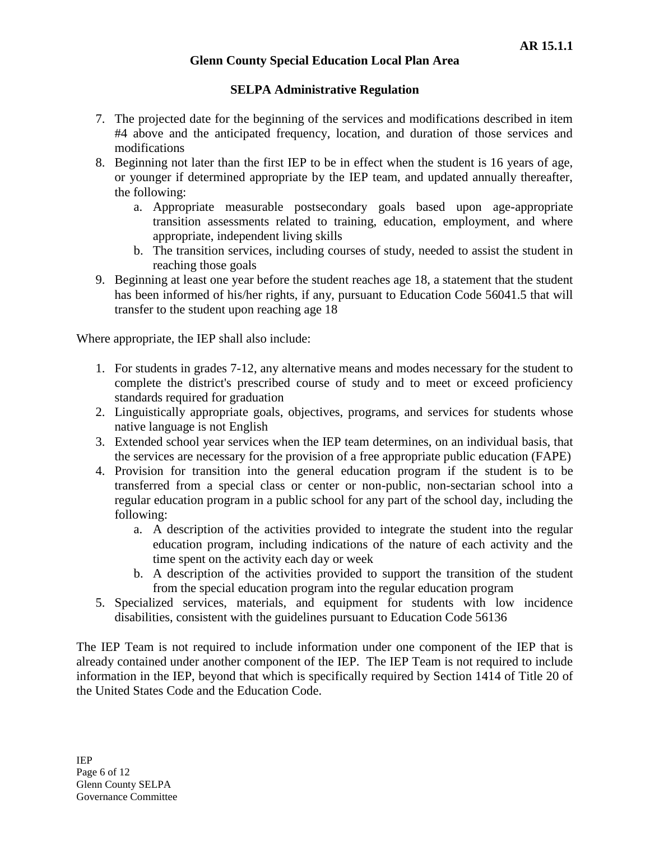## **SELPA Administrative Regulation**

- 7. The projected date for the beginning of the services and modifications described in item #4 above and the anticipated frequency, location, and duration of those services and modifications
- 8. Beginning not later than the first IEP to be in effect when the student is 16 years of age, or younger if determined appropriate by the IEP team, and updated annually thereafter, the following:
	- a. Appropriate measurable postsecondary goals based upon age-appropriate transition assessments related to training, education, employment, and where appropriate, independent living skills
	- b. The transition services, including courses of study, needed to assist the student in reaching those goals
- 9. Beginning at least one year before the student reaches age 18, a statement that the student has been informed of his/her rights, if any, pursuant to Education Code 56041.5 that will transfer to the student upon reaching age 18

Where appropriate, the IEP shall also include:

- 1. For students in grades 7-12, any alternative means and modes necessary for the student to complete the district's prescribed course of study and to meet or exceed proficiency standards required for graduation
- 2. Linguistically appropriate goals, objectives, programs, and services for students whose native language is not English
- 3. Extended school year services when the IEP team determines, on an individual basis, that the services are necessary for the provision of a free appropriate public education (FAPE)
- 4. Provision for transition into the general education program if the student is to be transferred from a special class or center or non-public, non-sectarian school into a regular education program in a public school for any part of the school day, including the following:
	- a. A description of the activities provided to integrate the student into the regular education program, including indications of the nature of each activity and the time spent on the activity each day or week
	- b. A description of the activities provided to support the transition of the student from the special education program into the regular education program
- 5. Specialized services, materials, and equipment for students with low incidence disabilities, consistent with the guidelines pursuant to Education Code 56136

The IEP Team is not required to include information under one component of the IEP that is already contained under another component of the IEP. The IEP Team is not required to include information in the IEP, beyond that which is specifically required by Section 1414 of Title 20 of the United States Code and the Education Code.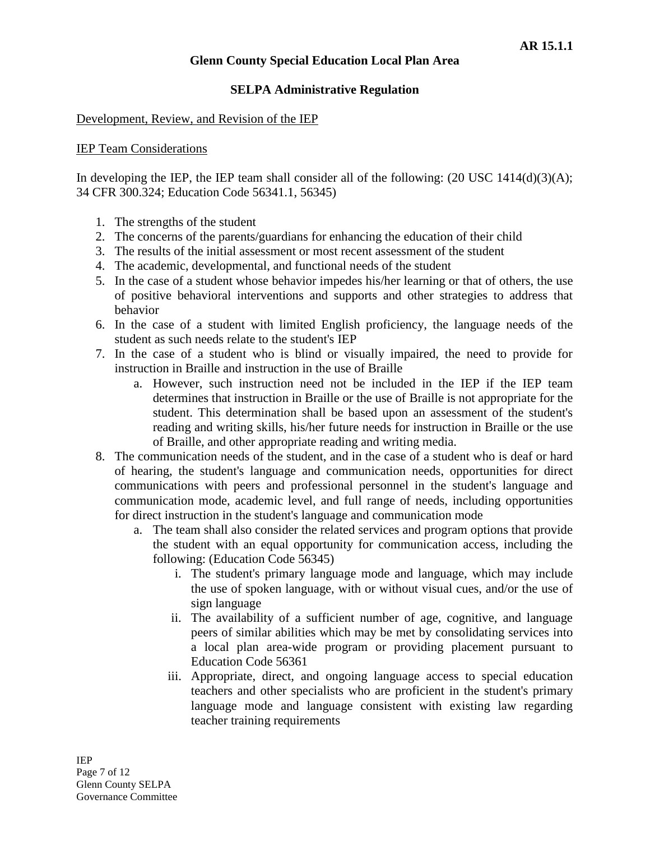### **SELPA Administrative Regulation**

#### Development, Review, and Revision of the IEP

### IEP Team Considerations

In developing the IEP, the IEP team shall consider all of the following:  $(20 \text{ USC } 1414(d)(3)(A))$ ; 34 CFR 300.324; Education Code 56341.1, 56345)

- 1. The strengths of the student
- 2. The concerns of the parents/guardians for enhancing the education of their child
- 3. The results of the initial assessment or most recent assessment of the student
- 4. The academic, developmental, and functional needs of the student
- 5. In the case of a student whose behavior impedes his/her learning or that of others, the use of positive behavioral interventions and supports and other strategies to address that behavior
- 6. In the case of a student with limited English proficiency, the language needs of the student as such needs relate to the student's IEP
- 7. In the case of a student who is blind or visually impaired, the need to provide for instruction in Braille and instruction in the use of Braille
	- a. However, such instruction need not be included in the IEP if the IEP team determines that instruction in Braille or the use of Braille is not appropriate for the student. This determination shall be based upon an assessment of the student's reading and writing skills, his/her future needs for instruction in Braille or the use of Braille, and other appropriate reading and writing media.
- 8. The communication needs of the student, and in the case of a student who is deaf or hard of hearing, the student's language and communication needs, opportunities for direct communications with peers and professional personnel in the student's language and communication mode, academic level, and full range of needs, including opportunities for direct instruction in the student's language and communication mode
	- a. The team shall also consider the related services and program options that provide the student with an equal opportunity for communication access, including the following: (Education Code 56345)
		- i. The student's primary language mode and language, which may include the use of spoken language, with or without visual cues, and/or the use of sign language
		- ii. The availability of a sufficient number of age, cognitive, and language peers of similar abilities which may be met by consolidating services into a local plan area-wide program or providing placement pursuant to Education Code 56361
		- iii. Appropriate, direct, and ongoing language access to special education teachers and other specialists who are proficient in the student's primary language mode and language consistent with existing law regarding teacher training requirements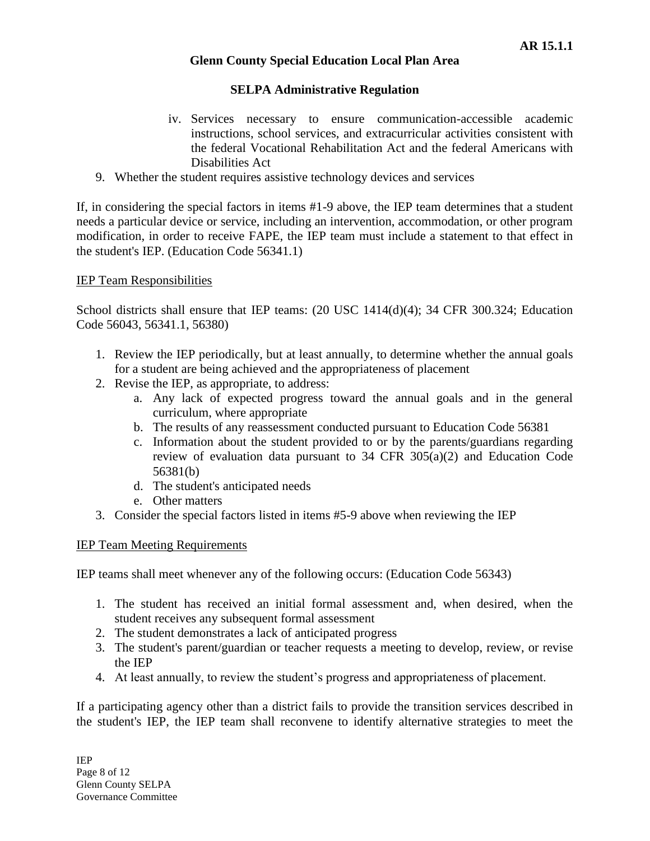## **SELPA Administrative Regulation**

- iv. Services necessary to ensure communication-accessible academic instructions, school services, and extracurricular activities consistent with the federal Vocational Rehabilitation Act and the federal Americans with Disabilities Act
- 9. Whether the student requires assistive technology devices and services

If, in considering the special factors in items #1-9 above, the IEP team determines that a student needs a particular device or service, including an intervention, accommodation, or other program modification, in order to receive FAPE, the IEP team must include a statement to that effect in the student's IEP. (Education Code 56341.1)

## IEP Team Responsibilities

School districts shall ensure that IEP teams: (20 USC 1414(d)(4); 34 CFR 300.324; Education Code 56043, 56341.1, 56380)

- 1. Review the IEP periodically, but at least annually, to determine whether the annual goals for a student are being achieved and the appropriateness of placement
- 2. Revise the IEP, as appropriate, to address:
	- a. Any lack of expected progress toward the annual goals and in the general curriculum, where appropriate
	- b. The results of any reassessment conducted pursuant to Education Code 56381
	- c. Information about the student provided to or by the parents/guardians regarding review of evaluation data pursuant to 34 CFR 305(a)(2) and Education Code 56381(b)
	- d. The student's anticipated needs
	- e. Other matters
- 3. Consider the special factors listed in items #5-9 above when reviewing the IEP

## IEP Team Meeting Requirements

IEP teams shall meet whenever any of the following occurs: (Education Code 56343)

- 1. The student has received an initial formal assessment and, when desired, when the student receives any subsequent formal assessment
- 2. The student demonstrates a lack of anticipated progress
- 3. The student's parent/guardian or teacher requests a meeting to develop, review, or revise the IEP
- 4. At least annually, to review the student's progress and appropriateness of placement.

If a participating agency other than a district fails to provide the transition services described in the student's IEP, the IEP team shall reconvene to identify alternative strategies to meet the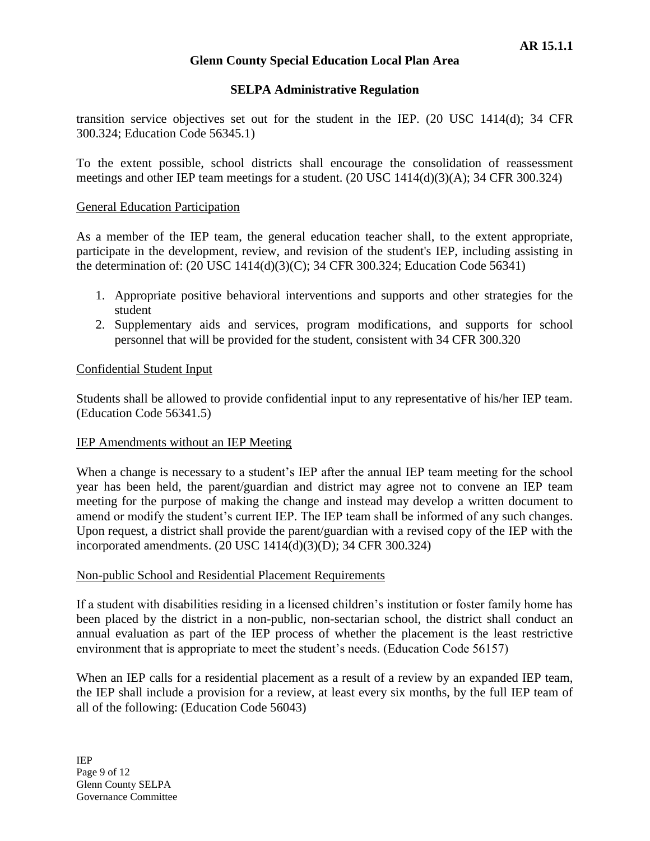### **SELPA Administrative Regulation**

transition service objectives set out for the student in the IEP. (20 USC 1414(d); 34 CFR 300.324; Education Code 56345.1)

To the extent possible, school districts shall encourage the consolidation of reassessment meetings and other IEP team meetings for a student. (20 USC 1414(d)(3)(A); 34 CFR 300.324)

#### General Education Participation

As a member of the IEP team, the general education teacher shall, to the extent appropriate, participate in the development, review, and revision of the student's IEP, including assisting in the determination of: (20 USC 1414(d)(3)(C); 34 CFR 300.324; Education Code 56341)

- 1. Appropriate positive behavioral interventions and supports and other strategies for the student
- 2. Supplementary aids and services, program modifications, and supports for school personnel that will be provided for the student, consistent with 34 CFR 300.320

### Confidential Student Input

Students shall be allowed to provide confidential input to any representative of his/her IEP team. (Education Code 56341.5)

#### IEP Amendments without an IEP Meeting

When a change is necessary to a student's IEP after the annual IEP team meeting for the school year has been held, the parent/guardian and district may agree not to convene an IEP team meeting for the purpose of making the change and instead may develop a written document to amend or modify the student's current IEP. The IEP team shall be informed of any such changes. Upon request, a district shall provide the parent/guardian with a revised copy of the IEP with the incorporated amendments. (20 USC 1414(d)(3)(D); 34 CFR 300.324)

#### Non-public School and Residential Placement Requirements

If a student with disabilities residing in a licensed children's institution or foster family home has been placed by the district in a non-public, non-sectarian school, the district shall conduct an annual evaluation as part of the IEP process of whether the placement is the least restrictive environment that is appropriate to meet the student's needs. (Education Code 56157)

When an IEP calls for a residential placement as a result of a review by an expanded IEP team, the IEP shall include a provision for a review, at least every six months, by the full IEP team of all of the following: (Education Code 56043)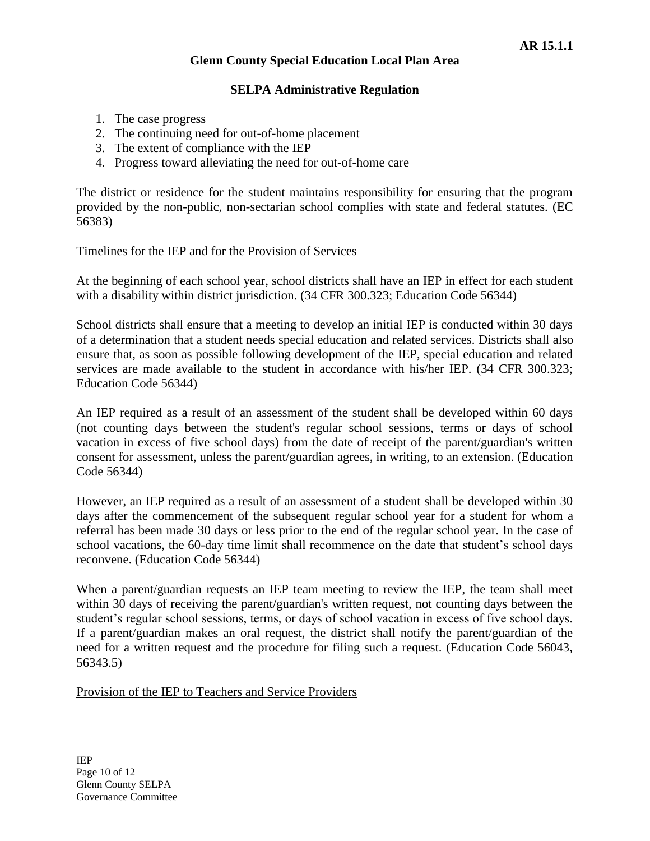### **SELPA Administrative Regulation**

- 1. The case progress
- 2. The continuing need for out-of-home placement
- 3. The extent of compliance with the IEP
- 4. Progress toward alleviating the need for out-of-home care

The district or residence for the student maintains responsibility for ensuring that the program provided by the non-public, non-sectarian school complies with state and federal statutes. (EC 56383)

#### Timelines for the IEP and for the Provision of Services

At the beginning of each school year, school districts shall have an IEP in effect for each student with a disability within district jurisdiction. (34 CFR 300.323; Education Code 56344)

School districts shall ensure that a meeting to develop an initial IEP is conducted within 30 days of a determination that a student needs special education and related services. Districts shall also ensure that, as soon as possible following development of the IEP, special education and related services are made available to the student in accordance with his/her IEP. (34 CFR 300.323; Education Code 56344)

An IEP required as a result of an assessment of the student shall be developed within 60 days (not counting days between the student's regular school sessions, terms or days of school vacation in excess of five school days) from the date of receipt of the parent/guardian's written consent for assessment, unless the parent/guardian agrees, in writing, to an extension. (Education Code 56344)

However, an IEP required as a result of an assessment of a student shall be developed within 30 days after the commencement of the subsequent regular school year for a student for whom a referral has been made 30 days or less prior to the end of the regular school year. In the case of school vacations, the 60-day time limit shall recommence on the date that student's school days reconvene. (Education Code 56344)

When a parent/guardian requests an IEP team meeting to review the IEP, the team shall meet within 30 days of receiving the parent/guardian's written request, not counting days between the student's regular school sessions, terms, or days of school vacation in excess of five school days. If a parent/guardian makes an oral request, the district shall notify the parent/guardian of the need for a written request and the procedure for filing such a request. (Education Code 56043, 56343.5)

#### Provision of the IEP to Teachers and Service Providers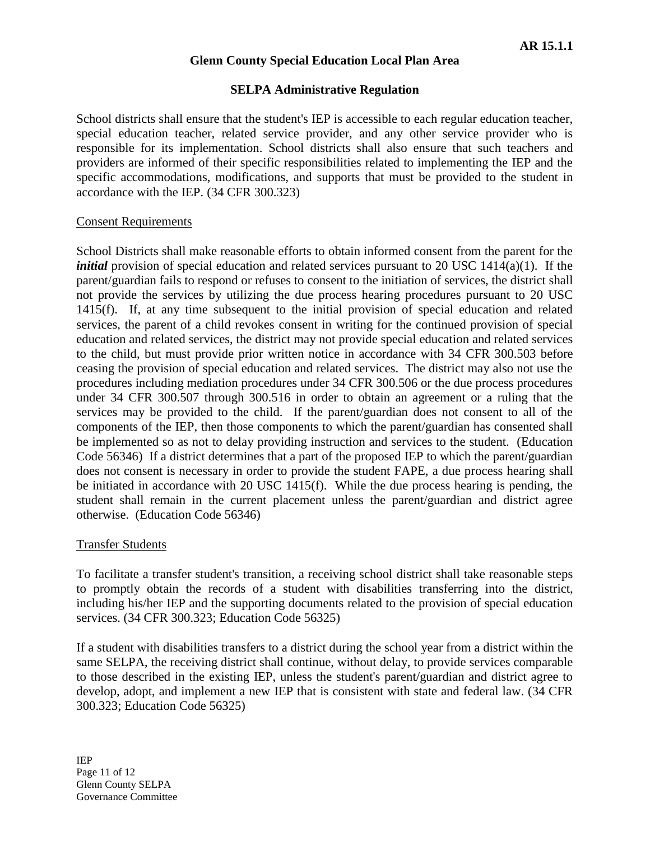### **SELPA Administrative Regulation**

School districts shall ensure that the student's IEP is accessible to each regular education teacher, special education teacher, related service provider, and any other service provider who is responsible for its implementation. School districts shall also ensure that such teachers and providers are informed of their specific responsibilities related to implementing the IEP and the specific accommodations, modifications, and supports that must be provided to the student in accordance with the IEP. (34 CFR 300.323)

#### Consent Requirements

School Districts shall make reasonable efforts to obtain informed consent from the parent for the *initial* provision of special education and related services pursuant to 20 USC 1414(a)(1). If the parent/guardian fails to respond or refuses to consent to the initiation of services, the district shall not provide the services by utilizing the due process hearing procedures pursuant to 20 USC 1415(f). If, at any time subsequent to the initial provision of special education and related services, the parent of a child revokes consent in writing for the continued provision of special education and related services, the district may not provide special education and related services to the child, but must provide prior written notice in accordance with 34 CFR 300.503 before ceasing the provision of special education and related services. The district may also not use the procedures including mediation procedures under 34 CFR 300.506 or the due process procedures under 34 CFR 300.507 through 300.516 in order to obtain an agreement or a ruling that the services may be provided to the child. If the parent/guardian does not consent to all of the components of the IEP, then those components to which the parent/guardian has consented shall be implemented so as not to delay providing instruction and services to the student. (Education Code 56346) If a district determines that a part of the proposed IEP to which the parent/guardian does not consent is necessary in order to provide the student FAPE, a due process hearing shall be initiated in accordance with 20 USC 1415(f). While the due process hearing is pending, the student shall remain in the current placement unless the parent/guardian and district agree otherwise. (Education Code 56346)

## Transfer Students

To facilitate a transfer student's transition, a receiving school district shall take reasonable steps to promptly obtain the records of a student with disabilities transferring into the district, including his/her IEP and the supporting documents related to the provision of special education services. (34 CFR 300.323; Education Code 56325)

If a student with disabilities transfers to a district during the school year from a district within the same SELPA, the receiving district shall continue, without delay, to provide services comparable to those described in the existing IEP, unless the student's parent/guardian and district agree to develop, adopt, and implement a new IEP that is consistent with state and federal law. (34 CFR 300.323; Education Code 56325)